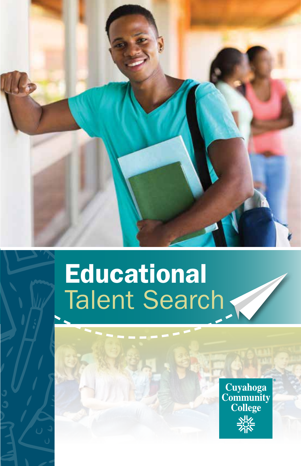

# Educational Talent Search

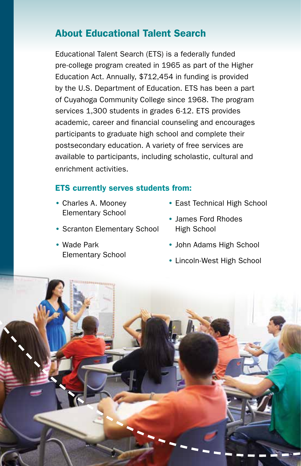## About Educational Talent Search

Educational Talent Search (ETS) is a federally funded pre-college program created in 1965 as part of the Higher Education Act. Annually, \$712,454 in funding is provided by the U.S. Department of Education. ETS has been a part of Cuyahoga Community College since 1968. The program services 1,300 students in grades 6-12. ETS provides academic, career and financial counseling and encourages participants to graduate high school and complete their postsecondary education. A variety of free services are available to participants, including scholastic, cultural and enrichment activities.

### ETS currently serves students from:

- Charles A. Mooney Elementary School
- Scranton Elementary School
- Wade Park Elementary School
- East Technical High School
- James Ford Rhodes High School
- John Adams High School
- Lincoln-West High School

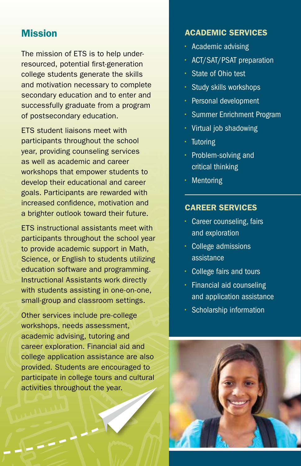## **Mission**

The mission of ETS is to help underresourced, potential first-generation college students generate the skills and motivation necessary to complete secondary education and to enter and successfully graduate from a program of postsecondary education.

ETS student liaisons meet with participants throughout the school year, providing counseling services as well as academic and career workshops that empower students to develop their educational and career goals. Participants are rewarded with increased confidence, motivation and a brighter outlook toward their future.

ETS instructional assistants meet with participants throughout the school year to provide academic support in Math, Science, or English to students utilizing education software and programming. Instructional Assistants work directly with students assisting in one-on-one, small-group and classroom settings.

Other services include pre-college workshops, needs assessment, academic advising, tutoring and career exploration. Financial aid and college application assistance are also provided. Students are encouraged to participate in college tours and cultural activities throughout the year.

#### ACADEMIC SERVICES

- Academic advising
- ACT/SAT/PSAT preparation
- State of Ohio test
- Study skills workshops
- Personal development
- Summer Enrichment Program
- Virtual job shadowing
- Tutoring
- Problem-solving and critical thinking
- Mentoring

#### CAREER SERVICES

- Career counseling, fairs and exploration
- College admissions assistance
- College fairs and tours
- Financial aid counseling and application assistance
- Scholarship information